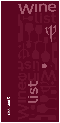

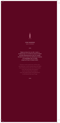

Faites le choix d'un vin dit « marin », et découvrez un vin dont le corps et l'esprit ont été influencés par la mer ou l'océan. Du terroir qui l'a nourri au climat qui l'a bercé, du vendangeur qui l'a cueilli jusqu'au fût qui l'a laissé vieillir.

**Contract** 

to the barrel that saw it age.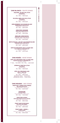AQUAREL, BLANC DE LITCHI TAKAMAKA Mauritus Island BTL 75CL - 1250 MUR

ECLIPSE, MOELLEUX DE LITCHI **TAKAMAKA** Mauritus Island BTL 75CL - 1900 MUR

HERLDERBERG SAUVIGNON BLANC WEBERSBURG WINE ESTATE Stellenbosh - South Africa BTL 75CL - 2350 MUR

> CREATION VIOGNIER CREATION WINES ESTATE Walker Bay - South Africa BTL 75CL - 1990 MUR

RIESLING CONSTANTIA DOMAINE KLEIN CONSTANTIA Constantia Valley - South Africa BTL 75CL - 2320 MUR

METIS PASCAL JOLIVET SAUVIGNON BLANC DOMAINE KLEIN CONSTANTIA Western Cane - South Africa BTL 75CL - 2500 MUR

CÔTE DE PROVENCE CRU CLASSÉ AOC CLOS MIRELLE, DOMAINES OTT Provence - Fran BTL 75CL - 4200 MUR

#### VINS ROSÉS - ROSÉ WINES

CÔTE-DE-PROVENCE CRU CLASSÉ AOC CHÂTEAU DE SELLE, DOMAINES OT Provence -12CL - 950 MUR / BTL 75CL - 4200 MUR

> APÉRICHI, ROSÉ DE LITCHI TAKAMAKA Mauritus Island BTL 75CL - 1250 MUR

CÔTE-DE-PROVENCE AOC MINUTY PRESTIGE vence

BTL 75CL - 2850 MUR MAGNUM 150CL - 5400 MUR JEROBOAM 300CL - 12350 MUR

#### VINS ROUGES - RED WINES

PINOTAGE, HOMESTEAD SERIES BELLINGHAM ESTATE Franschoek Valley - South Africa BTL 75CL - 2200 MUR

> **VISIONAIRE** HOLDEN MANZ Franschoek Valley - South Africa BTL 75CL - 1990 MUR

CREATION SYRAH CREATION WINES ESTATE (VEGAN) Walker Bay - South Africa BTL 75CL - 2800 MUR

PINOT NOIR PETER MAX CRYSTALLUM WINERY Western Cape - South Africa BTL 75CL - 2950 MUR

# PINOT NOIR « VREDE » STORM WINES

Hemel-en-Aarde Valley - South Africa BTL 75CL - 5900 MUR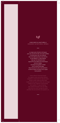

# VINS BIOS & NATURELS ORGANIC & NATURAL WINES

La vigne sans intrants chimiques pour les vins bio et des vins sans sulfites ni chimie pour les vins natures. Des vins dans les deux cas comme on les faisait il y a des siècles mais qui ne subissent plus aujourd'hui les aléas de la technique et de la météo. Une façon de goûter à l'état brut ce doux breuvage. Nous buvons le vent, nous sentons la terre et alors, le terroir et la vigne nous parlent.

for organic wines and wines without made centuries ago but which are no longer subject to the vagaries of technology this sweet beverage in its raw state.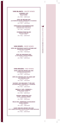#### VINS BLANCS - WHITE WINES

CONDRIEU AOC NICOLAS BADEL Rhône - France BTL 75CL - 4800 MUR

CÔTE-DE-BEAUNE AOC LES PIERRES BLANCHES, DOMAINE DE LA VOUGERAIE Bourgogne - France BTL 75CL - 4300 MUR

> CONSTANTIA SAUVIGNON BLANC DOMAINE KLEIN CONSTANTIA Constantia Valley - South Africa BTL 75CL - 2200 MUR

> > EVIDENCE PINOT BLANC GUSTAVE LORENTZ Alsace - France BTL 75CL - 2500 MUR

VINS ROSÉS - ROSÉ WINES

CÔTE-DE-PROVENCE SAINTE VICTOIRE AOP CHÂTEAU DE LA GALINIÈRE Provence - France

BTL 75CL - 1900 MUR

CÔTE-DE-PROVENCE AOC LA VIE EN ROSE, CHÂTEAU ROUBINE Provence - France BTL 75CL - 2500 MUR

# VINS ROUGES - RED WINES

SAINT-EMILION GRAND CRU AOC CHÂTEAU PAVILLON FIGEAC Bordeaux - France

BTL 75CL - 4200 MUR

CÔTE-DU-ROUSSILLON-VILLAGES AOP EGO, DOMAINES CAZES Roussillon - France BTL 75CL - 1900 MUR

SAVIGNY-LÈS-BEAUNES 1ER CRU AOC LES MARCONNETS, DOMAINE DE LA VOUGERAIE Bourgogne - France BTL 75CL - 4800 MUR

> BROUILLY AOP « PIERREUX » PIERRE-MARIE CHERMETTE Beaujolais - France BTL 75CL - 2800 MUR

 CROZES-HERMITAGE AOC CUVÉE L, DOMAINE COMBIER Rhône - France BTL 75CL - 3200 MUR

 RIOJA DOC, TEMPRANILLO ECOLÓGICO BODEGAS BERONIA Rioja - Spain BTL 75CL - 1800 MUR

SAINT-EMILION-GRAND-CRU AOC PETIT CORBIN DESPAGNE, CHÂTEAU GRAND CORBIN DESPAGNE Bordeaux - France BTL 75CL - 3500 MUR

 $\bullet$ **INS BIOS ET NATURES ORGANIC & NATURAL WINES** VINS BIOS ET NATURES ORGANIC & NATURAL WINES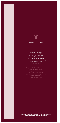# VINS D'EXCEPTION FINE WINES

Ils font dire que le vin est une boisson des dieux. Divin nectar qui ravit le palais et le coeur. Ils ont déclenché des guerres, des passions. Ils ont apporté la paix, la sagesse et le plaisir. À déguster donc !

They say wine is a drink of the gods. Divine nectar that delights passions. They have brought peace,

Les millésimes peuvent être amenés à changer selon disponibilité. Vintages might change depending on availability.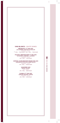# VINS BLANCS - WHITE WINES

MEURSAULT 1ER CRU AOC LES CHARMES, DOMAINE DU PAVILLON Bourgogne - France

12CL - 1900 MUR / BTL 75CL - 7500 MUR

PULIGNY-MONTRACHER 1ER CRU AOC LES REFERTS, DOMAINE V. GIRARDIN Bourgogne - France BTL 75CL - 7900 MUR

CORTON-CHARLEMAGNE GRAND CRU AOC DOMAINES DU PAVILLON, ALBERT BICHOT Bourgogne - France BTL 75CL - 12500 MUR

GRANDS VINS FINE WINES GRANDS VINS FINE WINES

SANCERRE AOC PASCAL JOLIVET

Loire - France BTL 75CL - 3200 MUR

CHABLIS 1ER CRU AOC DOMAINE SIMONNET-FEBVRE Bourgogne - France

BTL 75CL - 2950 MUR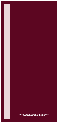Les millésimes peuvent être amenés à changer selon disponibilité. Vintages might change depending on availability.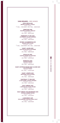#### VINS ROUGES - RED WINES

CÔTE-RÔTIE AOC BRUNE ET BLONDE, E. GUIGAL Rhône - France 12CL - 1700 MUR / BTL 75CL - 8300 MUR

> ERMITAGE AOP PHILIPPE & VINCENT JABOULET Rhône - France BTL 75CL - 8000 MUR

POMMARD 1ER CRU AOC LES EPENOTS, VINCENT GIRARDIN Bourgogne - France BTL 75CL - 6500 MUR

GEVREY-CHAMBERTIN AOC MAISON LOUIS LATOUR Bourgogne - France

 $\overline{1}$  12CL - 1600 MUR / BTL 75CL - 6500 MUR

SAINT-JULIEN AOC PAVILLON DE LÉOVILLE POYFERRÉ Bordeaux - France BTL 75CL - 5800 MUR

PAUILLAC AOC CHÂTEAU GRAND-PUY DUCASSE Bordeaux - France BTL 75CL - 4900 MUR

> MARGAUX AOC CHÂTEAU KIRWAN Bordeaux - France BTL 75CL - 8200 MUR

SAINT-ESTÈPHE GRAND CRU CLASSÉ AOC COS D'ESTOURNEL Bordeaux - France BTL 75CL - 17600 MUR

> SAINT-JOSEPH AOC MONTROND, NICOLAS BADEL Rhône - France BTL 75CL - 3500 MUR

SANTENAY 1ER CRU AOC LA MALADIÈRE, VINCENT GIRARDIN Bourgogne - France BTL 75CL - 3950 MUR

HAUT-MÉDOC AOC L'HÉRITAGE DE CHASSE-SPLEEN

Bordeaux - France BTL 75CL - 3350 MUR

HAUT-MÉDOC CRU BOURGEOIS AOC CHÂTEAU CLÉMENT PICHON Bordeaux - France BTL 75CL - 3750 MUR

LANGUEDOC AOP TÊTE DE BÉLIER, CHÂTEAU PUECH-HAUT Languedoc - France

BTL 75CL - 3650 MUR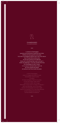

# **CHAMPAGNES CHAMPAGNES**

« Je bois du Champagne quand je suis heureuse et quand je suis triste. Parfois j'en bois quand je suis seule. Si j'ai de la compagnie j'estime que c'est mon devoir. Si je n'ai pas faim je joue avec et j'en bois quand je suis affamée. Sinon, je n'y touche jamais, sauf si j'ai soif. » disait Lilly Bollinger, l'une des grandes femmes du Champagne et elle a raison. Il n'y a aucun moment dans notre vie qui nous interdit de gouter et savourer ses fines bulles de plaisir.

«I drink Champagne when I'm happy and when I'm sad. I'm alone. If I am not hungry I play with it and drink it when I am hungry. said Lilly Bollinger, one of the great women of Champagne and she is right. us from tasting and savouring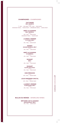## CHAMPAGNES - CHAMPAGNES

#### **TAITTINGER** BRUT RÉSERVE

France 12CL - 950 MUR / BTL 75CL - 5000 MUR MAGNUM 150CL - 10000 MUR / JEROBOAM 300CL - 22500 MUR

#### MOËT & CHANDON BRUT IMPÉRIAL

France BTL 75CL - 6500 MUR MAGNUM 150CL - 12600 MUR

# LAURENT-PERRIER

LA CUVÉE, BRUT France

BTL 75CL - 6000 MUR

#### **GOSSET**

GRANDE RÉSERVE, BRUT France BTL 75CL - 4300 MUR

#### MOËT & CHANDON ICE IMPÉRIAL

France BTL 75CL - 7600 MUR

#### RUINART **BRUT**

France BTL 75CL - 7400 MUR

#### RUINART BLANC DE BLANCS

France BTL 75CL - 9500 MUR

# DOM PÉRIGNON

France BTL 75CL - 15000 MUR

#### LOUIS ROEDERER CRISTAL France

BTL 75CL - 20000 MUR

#### LAURENT-PERRIER CUVÉE ROSÉE, BRUT

France BTL 75CL - 9990 MUR

#### BULLES DU MONDE - SPARKLING WINES

MÉTHODE CAP CLASSIQUE GRAHAM BECK, BRUT BTL 75CL - 2300 MUR